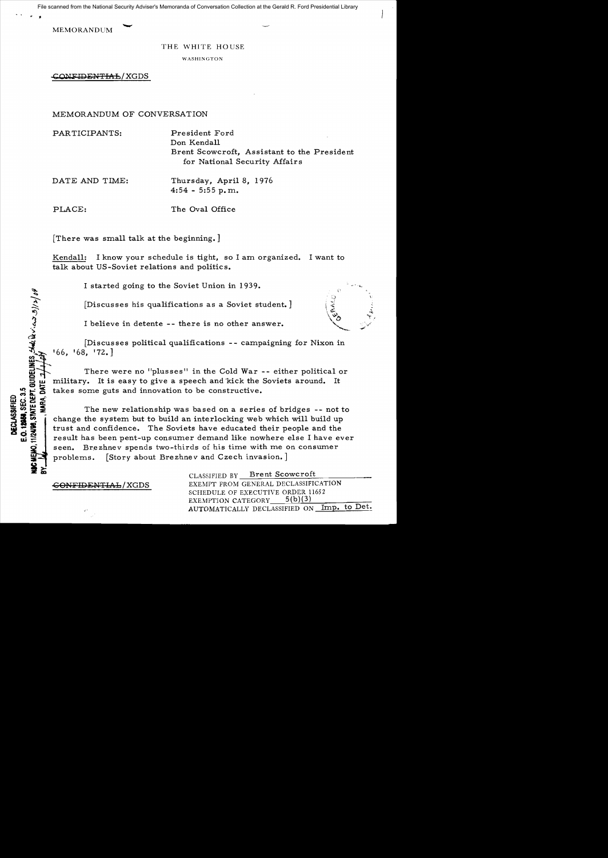File scanned from the National Security Adviser's Memoranda of Conversation Collection at the Gerald R. Ford Presidential Library

MEMORANDUM

• •

THE WHITE HOUSE

WASHINGTON

CONFIDENTIAL/XGDS

MEMORANDUM OF CONVERSATION

PARTICIPANTS: President Ford Don Kendall Brent Scowcroft, Assistant to the President for National Security Affairs

DATE AND TIME: Thursday, April 8, 1976 4:54 - 5:55 **p. m.** 

 $\ddot{\circ}$ 

 $\mathbb{P}$ 

 $\zeta$ پخ

ष्ठ <u>ठ</u> डू

PLACE: The Oval Office

[There was small talk at the beginning. ]

Kendall: I know your schedule is tight, so I am organized. I want to talk about US-Soviet relations and politics.

I started going to the Soviet Union in 1939.

 $[Discusses his qualitativeations as a Soviet student.$ ]

I believe in detente -- there is no other answer.

[Discusses political qualifications -- campaigning for Nixon in ::tS~~ '66, '68, '72.]

There were no "plusses" in the Cold War -- either political or<br>military. It is easy to give a speech and kick the Soviets around. It<br>takes some guts and innovation to be constructive. military. It is easy to give a speech and kick the Soviets around. It

which takes some guts and innovation to be constructive.<br>
Subsetting the new relationship was based on a series<br>
states of the new relationship was based on a series<br>
states of the system but to build an interlocking web<br> fao~< **u::wwa:**  USU THE THE NEW THE NEW THE NEW YORK THE NEW YORK THE NEW YORK THE NEW YORK THE NEW YORK THE NEW YORK THE SOVIETS AND THE SOLUTION OF THE SOLUTION OF THE SOLUTION OF THE SOLUTION OF THE SOLUTION OF THE SOLUTION OF THE SOLU change the system but to build an interlocking web which will build up trust and confidence. The Soviets have educated their people and the result has been pent-up consumer demand like nowhere else I have ever seen. Brezhnev spends two-thirds of his time with me on consumer problems. [Story about Brezhnev and Czech invasion.]

<del>CONFIDENTIAL</del>/XGDS

CLASSIFIED BY Brent Scowcroft EXEMPT FROM GENERAL DECLASSIFICATION SCHEDULE OF EXECUTIVE ORDER 11652 EXEMPTION CATEGORY  $5(b)(3)$ AUTOMATICALLY DECLASSIFIED ON Imp. to Det.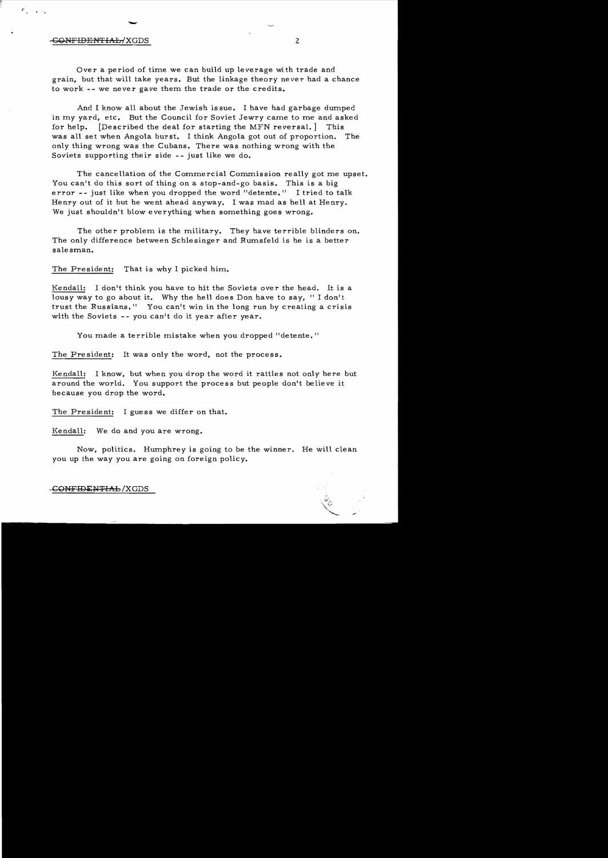## --<del>CONFIDENTIAL-</del>/XGDS 2

 $\mathcal{F}_{\mathbf{q}}$  is a set

Over a period of time we can build up leverage with trade and grain, but that will take years. But the linkage theory never had a chance to work -- we never gave them the trade or the credits.

And I know all about the Jewish issue. I have had garbage dumped in my yard, etc. But the Council for Soviet Jewry came to me and asked for help. [Described the deal for starting the MFN reversal. ] This was all set when Angola burst. I think Angola got out of proportion. The only thing wrong was the Cubans. There was nothing wrong with the Soviets supporting their side -- just like we do.

The cancellation of the Commercial Commission really got me upset. You can't do this sort of thing on a stop-and-go basis. This is a big error  $-$ - just like when you dropped the word "detente." I tried to talk Henry out of it but he went ahead anyway. I was mad as hell at Henry. We just shouldn't blow everything when something goes wrong.

The other problem is the military. They have terrible blinders on. The only difference between Schlesinger and Rumsfeld is he is a better salesman.

The President: That is why I picked him.

Kendall: I don't think you have to hit the Soviets over the head. It is a lousy way to go about it. Why the hell does Don have to say, "I don't trust the Russians.<sup>11</sup> You can't win in the long run by creating a crisis with the Soviets -- you can't do it year after year.

You made a terrible mistake when you dropped "detente."

The President: It was only the word, not the process.

Kendall: I know. but when you drop the word it rattles not only here but around the world. You support the process but people don't believe it because you drop the word.

The President: I guess we differ on that.

Kendall: We do and you are wrong.

Now, politics. Humphrey is going to be the winner. He will clean you up the way you are going on foreign policy.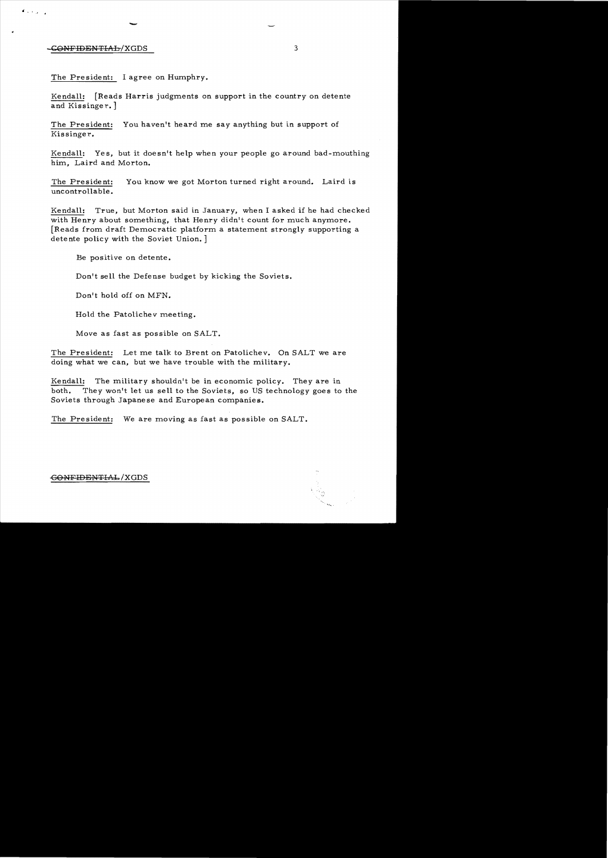## CONFIDENTIAL/XGDS 3

 $\mathcal{L}_{\mathcal{A}}$  .

The President: I agree on Humphry.

-

Kendall: [Reads Harris judgments on support in the country on detente and Kissinger.]

The President: You haven't heard me say anything but in support of Kissinger.

Kendall: Yes, but it doesn't help when your people go around bad-mouthing him, Laird and Morton.

The President: You know we got Morton turned right around. Laird is uncontrollable.

Kendall: True, but Morton said in January, when I asked if he had checked with Henry about something, that Henry didn't count for much anymore. [Reads from draft Democratic platform a statement strongly supporting a detente policy with the Soviet Union. ]

Be positive on detente.

Don't sell the Defense budget *by* kicking the Soviets.

Don't hold off on MFN.

Hold the Patolichev meeting.

*Move* as fast as possible on SALT.

The President: Let me talk to Brent on Patolichev. On SALT we are doing what we can, but we have trouble with the military.

Kendall: The military shouldn't be in economic policy. They are in both. They won't let us sell to the Soviets, so US technology goes to the Soviets through Japanese and European companies.

The President: We are moving as fast as possible on SALT.

GONFIDENTIAL/XGDS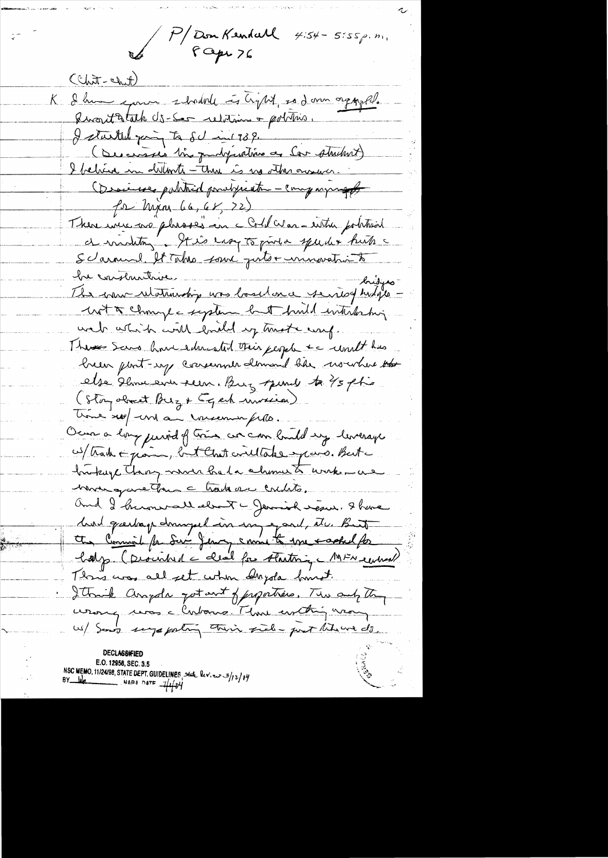P/Don Kendall  $4.54 - 5.55 \rho. n_1$ 

 $(t_{\text{min}} - t_{\text{min}})$ K I hum en 2 hourd to light, so I am orgazel. Quartatath US-Ser relations + politics. I started young to 80 mil 739. (Descenares tin guantifications as Car strutent) I behind in distants - this is no other ourse. Ossainse pohtnid ponalyseatre - companying for Maxim 66, 68, 72) There were no plussed in c Collevar entre potition. Scarnwel, It Takes sour puts + unnevation to he constructive.<br>The commutationship was loselonce seniof hisps with change system but build interfacting wat attach with loaded by truste wif. There Sans hours derested their people to until has hear port-ey corremner dominal has nowhere the else slow ever seen. Burg spend to 45 pt is (Stoy object Buz & Eqch unicial) time sept une au conservant pille. Ocur a long puried of tries are can land ung leverage ws/track in justo, but Chat willtake spars. But bruking Thay were had a chome to work - as mongareton c tradeve coults. and I hummed elect - Jemiah sesue. I have hurd græskap domingel in son eg and, etc. Buit the Commit for Ser Jenny same to me sacked for holp. (Described a clear for Austriq MFN central) This was all set when delayde land. I think anyola got out of proporties. The and they wang was a Cubono. That unthing wang us/ Sand suga portin their field - port thewe do. **DECLASSIFIED** 

E.O. 12958, SEC. 3.5 NSC MEMO, 11/24/98, STATE DEPT. GUIDELINES state lev. es 3/12/14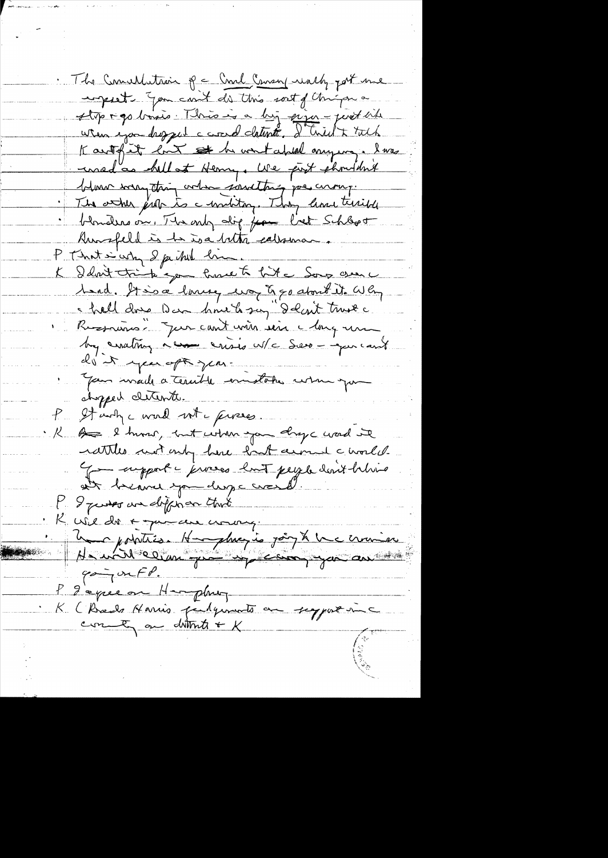The Concellation of a Cond Consen walky port une ingest you can't do this sort of things a stop ago basis. This is a big pixer - just aite Kartglet hunt and abland mying. I was uned as hell at Henry, We post phondent blance were thing order sancting poe curry. The atter just to a uniting. They lime terrible blonders on, The only dig from bet Schlept Runsfeld is to isa bitty calenary P That i why I failed him K Idout trip you have to hit a Song creer u hard. It is a lovery use & go about it. Why I hall done Dan hours say I don't trust a Russiano: Jur cant voir une changement by crating a come crisis w/c Serve - aper can't do it you oft you. Jan mail a terrible emplotes when you chopped cleante. P. It write word with preses. K of I humor, but when you dryc word it rattles not only here hast cerned a world. - support - jerveses lont peyer devit believe at beauce you dange croise I pusses an different that  $\mathcal{V}_{\mathbb{R}^+}$ K wil do a me an coming 4 de chatris. Hanghuer is joint la commence  $\varphi \sim \neg \mathsf{onfP}.$ P gepteen Hampburg K (Break Harris pulgements au support une cont on dittit & K